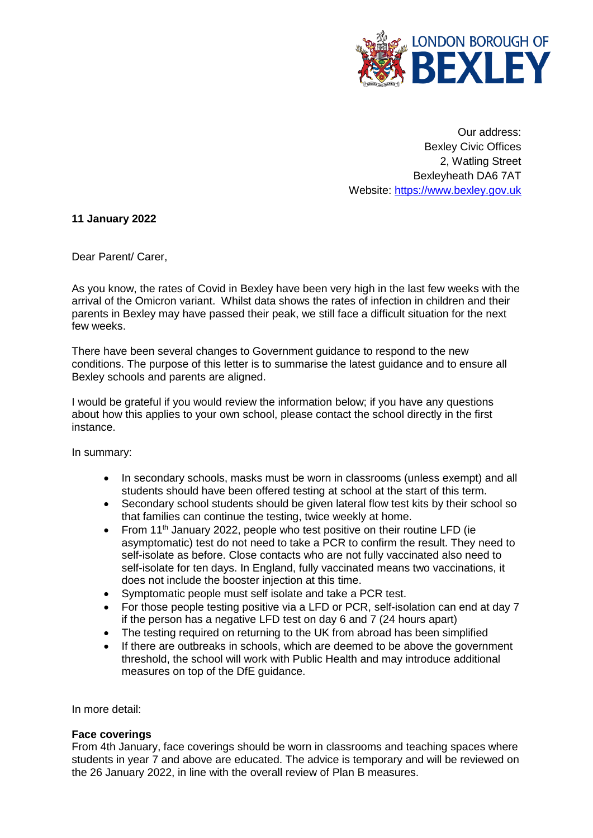

Our address: Bexley Civic Offices 2, Watling Street Bexleyheath DA6 7AT Website: [https://www.bexley.gov.uk](https://www.bexley.gov.uk/)

**11 January 2022**

Dear Parent/ Carer,

As you know, the rates of Covid in Bexley have been very high in the last few weeks with the arrival of the Omicron variant. Whilst data shows the rates of infection in children and their parents in Bexley may have passed their peak, we still face a difficult situation for the next few weeks.

There have been several changes to Government guidance to respond to the new conditions. The purpose of this letter is to summarise the latest guidance and to ensure all Bexley schools and parents are aligned.

I would be grateful if you would review the information below; if you have any questions about how this applies to your own school, please contact the school directly in the first instance.

In summary:

- In secondary schools, masks must be worn in classrooms (unless exempt) and all students should have been offered testing at school at the start of this term.
- Secondary school students should be given lateral flow test kits by their school so that families can continue the testing, twice weekly at home.
- From 11th January 2022, people who test positive on their routine LFD (ie asymptomatic) test do not need to take a PCR to confirm the result. They need to self-isolate as before. Close contacts who are not fully vaccinated also need to self-isolate for ten days. In England, fully vaccinated means two vaccinations, it does not include the booster injection at this time.
- Symptomatic people must self isolate and take a PCR test.
- For those people testing positive via a LFD or PCR, self-isolation can end at day 7 if the person has a negative LFD test on day 6 and 7 (24 hours apart)
- The testing required on returning to the UK from abroad has been simplified
- If there are outbreaks in schools, which are deemed to be above the government threshold, the school will work with Public Health and may introduce additional measures on top of the DfE guidance.

In more detail:

## **Face coverings**

From 4th January, face coverings should be worn in classrooms and teaching spaces where students in year 7 and above are educated. The advice is temporary and will be reviewed on the 26 January 2022, in line with the overall review of Plan B measures.